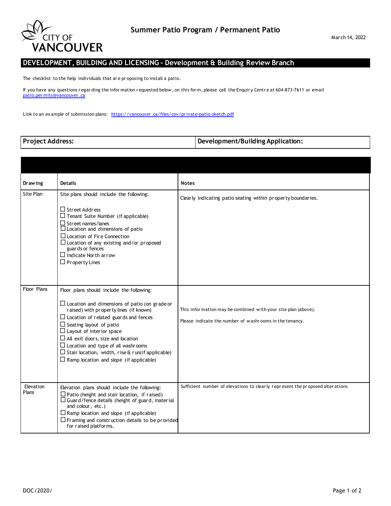

## **DEVELOPMENT, BUILDING AND LICENSING - Development & Building Review Branch**

The checklist to the help individuals that ar e pr oposing to install a patio.

If you have any questions regar ding the information requested below, on this form, please call the Enquiry Centre at 604-873-7611 or email [patio.per mits@vancouver .ca](mailto:patio.permits@vancouver.ca)

Link to an ex ample of submission plans: https://vancouver.ca/files/cov/private-patio-sketch.pdf

|  |  |  | <b>Project Address:</b> |
|--|--|--|-------------------------|
|--|--|--|-------------------------|

**Development/Building Application:** 

| <b>Drawing</b>     | <b>Details</b>                                                                                                                                                                                                                                                                                                                                                                                                                                                         | <b>Notes</b>                                                                                                              |
|--------------------|------------------------------------------------------------------------------------------------------------------------------------------------------------------------------------------------------------------------------------------------------------------------------------------------------------------------------------------------------------------------------------------------------------------------------------------------------------------------|---------------------------------------------------------------------------------------------------------------------------|
| Site Plan          | Site plans should include the following:                                                                                                                                                                                                                                                                                                                                                                                                                               | Clearly indicating patio seating within property boundaries.                                                              |
|                    | $\Box$ Street Address<br>$\Box$ Tenant Suite Number (if applicable)<br>$\Box$ Street names/lanes<br>$\Box$ Location and dimensions of patio<br>$\Box$ Location of Fire Connection<br>$\Box$ Location of any existing and/or proposed<br>guards or fences<br>$\Box$ Indicate North arrow<br>$\Box$ Property Lines                                                                                                                                                       |                                                                                                                           |
| Floor Plans        | Floor plans should include the following:<br>$\Box$ Location and dimensions of patio (on grade or<br>raised) with property lines (if known)<br>$\Box$ Location of related guards and fences<br>$\Box$ Seating layout of patio<br>$\Box$ Layout of interior space<br>$\Box$ All exit doors, size and location<br>$\Box$ Location and type of all washrooms<br>$\Box$ Stair location, width, rise & run(if applicable)<br>$\Box$ Ramp location and slope (if applicable) | This infor mation may be combined with your site plan (above).<br>Please indicate the number of washrooms in the tenancy. |
| Elevation<br>Plans | Elevation plans should include the following:<br>$\Box$ Patio (height and stair location, if raised)<br>$\Box$ Guard/fence details (height of guard, material<br>and colour, etc.)<br>$\Box$ Ramp location and slope (if applicable)<br>$\Box$ Framing and construction details to be provided<br>for raised platforms.                                                                                                                                                | Sufficient number of elevations to clearly represent the proposed alterations                                             |